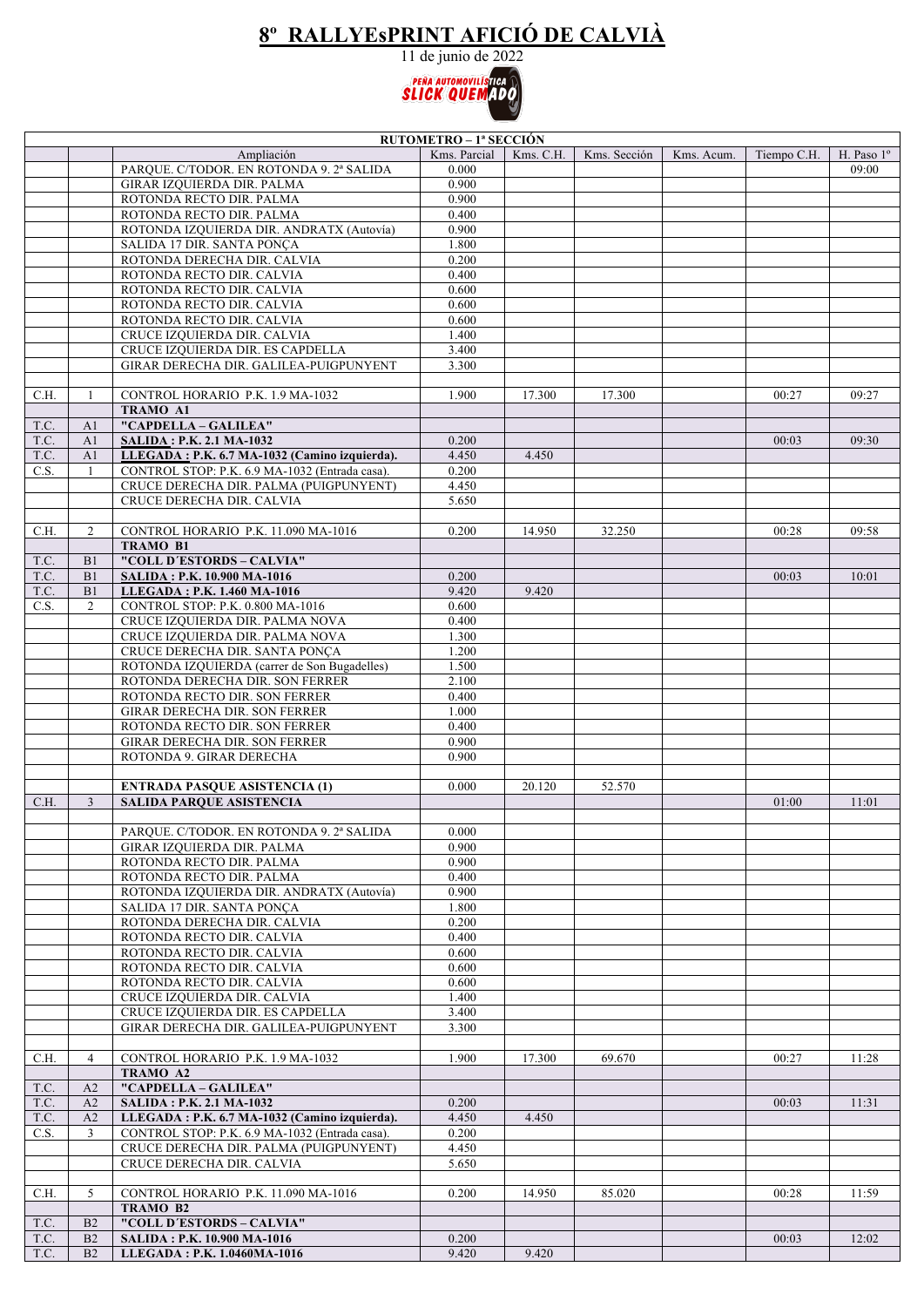## **8º RALLYEsPRINT AFICIÓ DE CALVIÀ**

11 de junio de 2022



|      | RUTOMETRO - 1ª SECCIÓN |                                                                      |                |           |              |            |             |                     |
|------|------------------------|----------------------------------------------------------------------|----------------|-----------|--------------|------------|-------------|---------------------|
|      |                        | Ampliación                                                           | Kms. Parcial   | Kms. C.H. | Kms. Sección | Kms. Acum. | Tiempo C.H. | H. Paso $1^{\circ}$ |
|      |                        | PARQUE. C/TODOR. EN ROTONDA 9. 2ª SALIDA                             | 0.000          |           |              |            |             | 09:00               |
|      |                        | GIRAR IZQUIERDA DIR. PALMA                                           | 0.900          |           |              |            |             |                     |
|      |                        | ROTONDA RECTO DIR. PALMA                                             | 0.900          |           |              |            |             |                     |
|      |                        | ROTONDA RECTO DIR. PALMA                                             | 0.400          |           |              |            |             |                     |
|      |                        | ROTONDA IZQUIERDA DIR. ANDRATX (Autovía)                             | 0.900          |           |              |            |             |                     |
|      |                        | SALIDA 17 DIR. SANTA PONCA                                           | 1.800          |           |              |            |             |                     |
|      |                        | ROTONDA DERECHA DIR. CALVIA                                          | 0.200          |           |              |            |             |                     |
|      |                        | ROTONDA RECTO DIR. CALVIA                                            | 0.400          |           |              |            |             |                     |
|      |                        | ROTONDA RECTO DIR. CALVIA                                            | 0.600          |           |              |            |             |                     |
|      |                        | ROTONDA RECTO DIR. CALVIA                                            | 0.600          |           |              |            |             |                     |
|      |                        | ROTONDA RECTO DIR. CALVIA                                            | 0.600          |           |              |            |             |                     |
|      |                        | CRUCE IZQUIERDA DIR. CALVIA                                          | 1.400          |           |              |            |             |                     |
|      |                        | CRUCE IZQUIERDA DIR. ES CAPDELLA                                     | 3.400          |           |              |            |             |                     |
|      |                        | GIRAR DERECHA DIR. GALILEA-PUIGPUNYENT                               | 3.300          |           |              |            |             |                     |
|      |                        |                                                                      |                |           |              |            |             |                     |
| C.H. | -1                     | CONTROL HORARIO P.K. 1.9 MA-1032                                     | 1.900          | 17.300    | 17.300       |            | 00:27       | 09:27               |
|      |                        | <b>TRAMO A1</b>                                                      |                |           |              |            |             |                     |
| T.C. | A1                     | "CAPDELLA - GALILEA"                                                 |                |           |              |            |             |                     |
| T.C. | A1                     | <b>SALIDA: P.K. 2.1 MA-1032</b>                                      | 0.200          |           |              |            | 00:03       | 09:30               |
| T.C. | A1                     | LLEGADA: P.K. 6.7 MA-1032 (Camino izquierda).                        | 4.450          | 4.450     |              |            |             |                     |
| C.S. | $\overline{1}$         | CONTROL STOP: P.K. 6.9 MA-1032 (Entrada casa).                       | 0.200          |           |              |            |             |                     |
|      |                        | CRUCE DERECHA DIR. PALMA (PUIGPUNYENT)                               | 4.450          |           |              |            |             |                     |
|      |                        | CRUCE DERECHA DIR. CALVIA                                            | 5.650          |           |              |            |             |                     |
|      |                        |                                                                      |                |           |              |            |             |                     |
| C.H. | $\overline{2}$         | CONTROL HORARIO P.K. 11.090 MA-1016                                  | 0.200          | 14.950    | 32.250       |            | 00:28       | 09:58               |
|      |                        | <b>TRAMO B1</b>                                                      |                |           |              |            |             |                     |
| T.C. | B <sub>1</sub>         | "COLL D'ESTORDS - CALVIA"                                            |                |           |              |            |             |                     |
| T.C. | B <sub>1</sub>         | <b>SALIDA: P.K. 10.900 MA-1016</b>                                   | 0.200          |           |              |            | 00:03       | 10:01               |
| T.C. | B1                     | LLEGADA: P.K. 1.460 MA-1016                                          | 9.420          | 9.420     |              |            |             |                     |
| C.S. | 2                      | CONTROL STOP: P.K. 0.800 MA-1016                                     | 0.600          |           |              |            |             |                     |
|      |                        | CRUCE IZQUIERDA DIR. PALMA NOVA                                      | 0.400          |           |              |            |             |                     |
|      |                        | CRUCE IZQUIERDA DIR. PALMA NOVA                                      | 1.300          |           |              |            |             |                     |
|      |                        | CRUCE DERECHA DIR. SANTA PONÇA                                       | 1.200          |           |              |            |             |                     |
|      |                        | ROTONDA IZQUIERDA (carrer de Son Bugadelles)                         | 1.500          |           |              |            |             |                     |
|      |                        | ROTONDA DERECHA DIR. SON FERRER                                      | 2.100          |           |              |            |             |                     |
|      |                        | ROTONDA RECTO DIR. SON FERRER                                        | 0.400          |           |              |            |             |                     |
|      |                        | GIRAR DERECHA DIR. SON FERRER                                        | 1.000          |           |              |            |             |                     |
|      |                        | ROTONDA RECTO DIR. SON FERRER                                        | 0.400          |           |              |            |             |                     |
|      |                        | GIRAR DERECHA DIR. SON FERRER                                        | 0.900          |           |              |            |             |                     |
|      |                        | ROTONDA 9. GIRAR DERECHA                                             | 0.900          |           |              |            |             |                     |
|      |                        |                                                                      |                |           |              |            |             |                     |
|      |                        | <b>ENTRADA PASQUE ASISTENCIA (1)</b>                                 | 0.000          | 20.120    | 52.570       |            |             |                     |
| C.H. | $\overline{3}$         | <b>SALIDA PARQUE ASISTENCIA</b>                                      |                |           |              |            | 01:00       | 11:01               |
|      |                        |                                                                      |                |           |              |            |             |                     |
|      |                        | PARQUE. C/TODOR. EN ROTONDA 9. 2ª SALIDA                             | 0.000          |           |              |            |             |                     |
|      |                        | GIRAR IZQUIERDA DIR. PALMA                                           | 0.900          |           |              |            |             |                     |
|      |                        | ROTONDA RECTO DIR. PALMA                                             | 0.900          |           |              |            |             |                     |
|      |                        | ROTONDA RECTO DIR. PALMA<br>ROTONDA IZQUIERDA DIR. ANDRATX (Autovía) | 0.400<br>0.900 |           |              |            |             |                     |
|      |                        |                                                                      |                |           |              |            |             |                     |
|      |                        | SALIDA 17 DIR. SANTA PONCA<br>ROTONDA DERECHA DIR. CALVIA            | 1.800<br>0.200 |           |              |            |             |                     |
|      |                        | ROTONDA RECTO DIR. CALVIA                                            | 0.400          |           |              |            |             |                     |
|      |                        | ROTONDA RECTO DIR. CALVIA                                            | 0.600          |           |              |            |             |                     |
|      |                        | ROTONDA RECTO DIR. CALVIA                                            | 0.600          |           |              |            |             |                     |
|      |                        | ROTONDA RECTO DIR. CALVIA                                            | 0.600          |           |              |            |             |                     |
|      |                        | CRUCE IZQUIERDA DIR. CALVIA                                          | 1.400          |           |              |            |             |                     |
|      |                        | CRUCE IZQUIERDA DIR. ES CAPDELLA                                     | 3.400          |           |              |            |             |                     |
|      |                        | GIRAR DERECHA DIR. GALILEA-PUIGPUNYENT                               | 3.300          |           |              |            |             |                     |
|      |                        |                                                                      |                |           |              |            |             |                     |
| C.H. | $\overline{4}$         | CONTROL HORARIO P.K. 1.9 MA-1032                                     | 1.900          | 17.300    | 69.670       |            | 00:27       | 11:28               |
|      |                        | TRAMO A2                                                             |                |           |              |            |             |                     |
| T.C. | A2                     | "CAPDELLA - GALILEA"                                                 |                |           |              |            |             |                     |
| T.C. | A2                     | <b>SALIDA: P.K. 2.1 MA-1032</b>                                      | 0.200          |           |              |            | 00:03       | 11:31               |
| T.C. | A2                     | LLEGADA: P.K. 6.7 MA-1032 (Camino izquierda).                        | 4.450          | 4.450     |              |            |             |                     |
| C.S. | 3                      | CONTROL STOP: P.K. 6.9 MA-1032 (Entrada casa).                       | 0.200          |           |              |            |             |                     |
|      |                        | CRUCE DERECHA DIR. PALMA (PUIGPUNYENT)                               | 4.450          |           |              |            |             |                     |
|      |                        | CRUCE DERECHA DIR. CALVIA                                            | 5.650          |           |              |            |             |                     |
|      |                        |                                                                      |                |           |              |            |             |                     |
| C.H. | 5                      | CONTROL HORARIO P.K. 11.090 MA-1016                                  | 0.200          | 14.950    | 85.020       |            | 00:28       | 11:59               |
|      |                        | TRAMO B2                                                             |                |           |              |            |             |                     |
| T.C. | B2                     | "COLL D'ESTORDS - CALVIA"                                            |                |           |              |            |             |                     |
| T.C. | B2                     | SALIDA: P.K. 10.900 MA-1016                                          | 0.200          |           |              |            | 00:03       | 12:02               |
| T.C. | B2                     | LLEGADA: P.K. 1.0460MA-1016                                          | 9.420          | 9.420     |              |            |             |                     |
|      |                        |                                                                      |                |           |              |            |             |                     |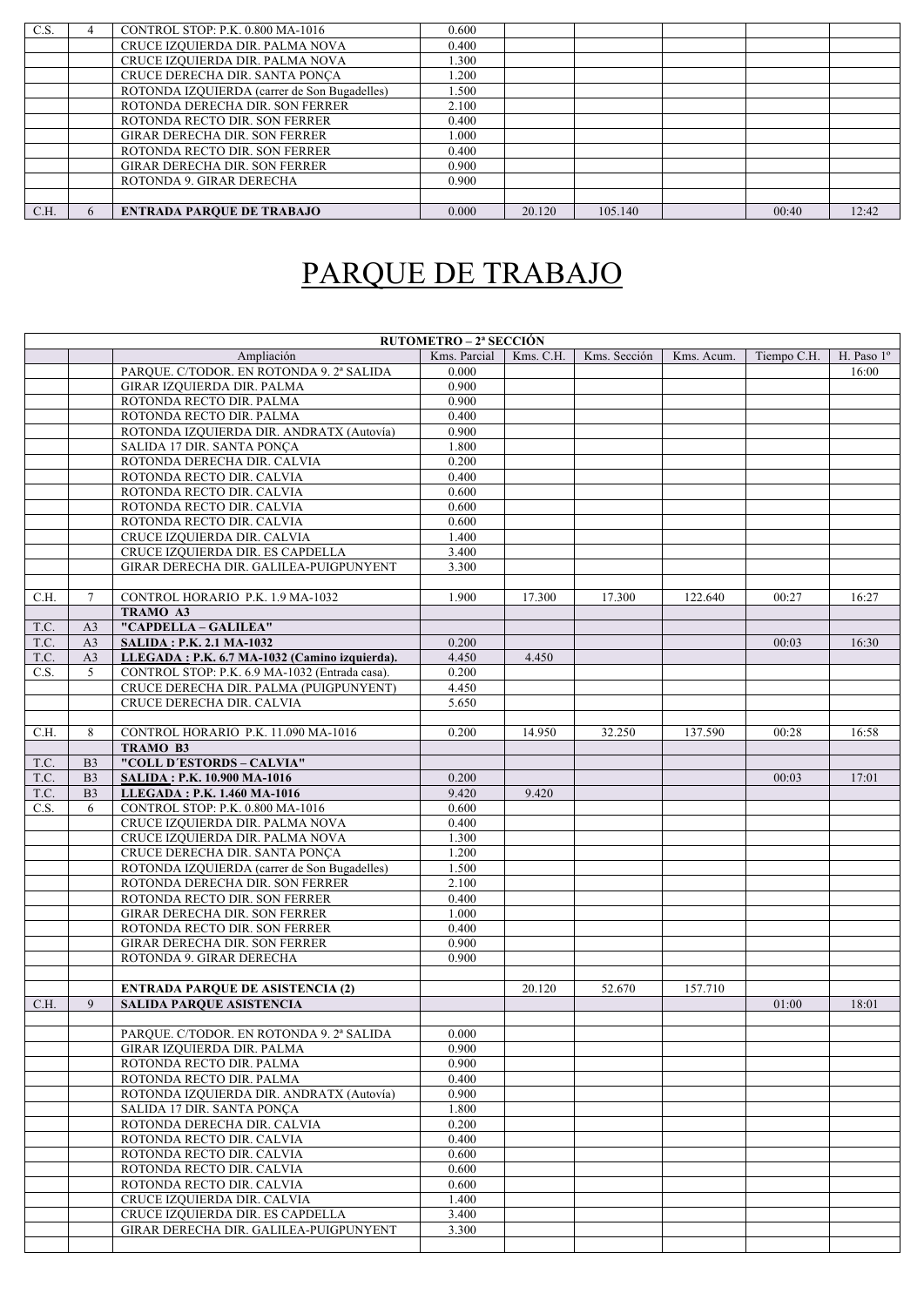| C.S. | CONTROL STOP: P.K. 0.800 MA-1016             | 0.600 |        |         |       |       |
|------|----------------------------------------------|-------|--------|---------|-------|-------|
|      | CRUCE IZQUIERDA DIR. PALMA NOVA              | 0.400 |        |         |       |       |
|      | CRUCE IZQUIERDA DIR. PALMA NOVA              | .300  |        |         |       |       |
|      | CRUCE DERECHA DIR. SANTA PONCA               | .200  |        |         |       |       |
|      | ROTONDA IZQUIERDA (carrer de Son Bugadelles) | .500  |        |         |       |       |
|      | ROTONDA DERECHA DIR. SON FERRER              | 2.100 |        |         |       |       |
|      | ROTONDA RECTO DIR. SON FERRER                | 0.400 |        |         |       |       |
|      | <b>GIRAR DERECHA DIR. SON FERRER</b>         | 000.1 |        |         |       |       |
|      | ROTONDA RECTO DIR. SON FERRER                | 0.400 |        |         |       |       |
|      | <b>GIRAR DERECHA DIR. SON FERRER</b>         | 0.900 |        |         |       |       |
|      | ROTONDA 9. GIRAR DERECHA                     | 0.900 |        |         |       |       |
|      |                                              |       |        |         |       |       |
| C.H. | <b>ENTRADA PAROUE DE TRABAJO</b>             | 0.000 | 20.120 | 105.140 | 00:40 | 12:42 |
|      |                                              |       |        |         |       |       |

## PARQUE DE TRABAJO

|      | <b>RUTOMETRO – 2ª SECCIÓN</b> |                                                        |                |           |              |            |             |            |
|------|-------------------------------|--------------------------------------------------------|----------------|-----------|--------------|------------|-------------|------------|
|      |                               | Ampliación                                             | Kms. Parcial   | Kms. C.H. | Kms. Sección | Kms. Acum. | Tiempo C.H. | H. Paso 1° |
|      |                               | PARQUE. C/TODOR. EN ROTONDA 9. 2ª SALIDA               | 0.000          |           |              |            |             | 16:00      |
|      |                               | GIRAR IZQUIERDA DIR. PALMA                             | 0.900          |           |              |            |             |            |
|      |                               | ROTONDA RECTO DIR. PALMA                               | 0.900          |           |              |            |             |            |
|      |                               | ROTONDA RECTO DIR. PALMA                               | 0.400          |           |              |            |             |            |
|      |                               | ROTONDA IZQUIERDA DIR. ANDRATX (Autovía)               | 0.900          |           |              |            |             |            |
|      |                               | SALIDA 17 DIR. SANTA PONCA                             | 1.800          |           |              |            |             |            |
|      |                               | ROTONDA DERECHA DIR. CALVIA                            | 0.200          |           |              |            |             |            |
|      |                               | ROTONDA RECTO DIR. CALVIA                              | 0.400          |           |              |            |             |            |
|      |                               | ROTONDA RECTO DIR. CALVIA                              | 0.600          |           |              |            |             |            |
|      |                               | ROTONDA RECTO DIR. CALVIA                              | 0.600          |           |              |            |             |            |
|      |                               | ROTONDA RECTO DIR. CALVIA                              | 0.600          |           |              |            |             |            |
|      |                               | CRUCE IZQUIERDA DIR. CALVIA                            | 1.400          |           |              |            |             |            |
|      |                               | CRUCE IZQUIERDA DIR. ES CAPDELLA                       | 3.400          |           |              |            |             |            |
|      |                               | GIRAR DERECHA DIR. GALILEA-PUIGPUNYENT                 | 3.300          |           |              |            |             |            |
|      |                               |                                                        |                |           |              |            |             |            |
| C.H. | $\tau$                        | CONTROL HORARIO P.K. 1.9 MA-1032                       | 1.900          | 17.300    | 17.300       | 122.640    | 00:27       | 16:27      |
|      |                               | TRAMO A3                                               |                |           |              |            |             |            |
| T.C. | A <sub>3</sub>                | "CAPDELLA - GALILEA"                                   |                |           |              |            |             |            |
| T.C. | A3                            | <b>SALIDA: P.K. 2.1 MA-1032</b>                        | 0.200          |           |              |            | 00:03       | 16:30      |
| T.C. | A <sub>3</sub>                | LLEGADA: P.K. 6.7 MA-1032 (Camino izquierda).          | 4.450          | 4.450     |              |            |             |            |
| C.S. | 5                             | CONTROL STOP: P.K. 6.9 MA-1032 (Entrada casa).         | 0.200          |           |              |            |             |            |
|      |                               | CRUCE DERECHA DIR. PALMA (PUIGPUNYENT)                 | 4.450          |           |              |            |             |            |
|      |                               | CRUCE DERECHA DIR. CALVIA                              | 5.650          |           |              |            |             |            |
| C.H. | 8                             | CONTROL HORARIO P.K. 11.090 MA-1016                    | 0.200          | 14.950    | 32.250       | 137.590    | 00:28       |            |
|      |                               | TRAMO B3                                               |                |           |              |            |             | 16:58      |
| T.C. | B <sub>3</sub>                | "COLL D'ESTORDS - CALVIA"                              |                |           |              |            |             |            |
| T.C. | B <sub>3</sub>                | SALIDA: P.K. 10.900 MA-1016                            | 0.200          |           |              |            | 00:03       | 17:01      |
| T.C. | B <sub>3</sub>                | LLEGADA: P.K. 1.460 MA-1016                            | 9.420          | 9.420     |              |            |             |            |
| C.S. | 6                             | CONTROL STOP: P.K. 0.800 MA-1016                       | 0.600          |           |              |            |             |            |
|      |                               | CRUCE IZQUIERDA DIR. PALMA NOVA                        | 0.400          |           |              |            |             |            |
|      |                               | CRUCE IZQUIERDA DIR. PALMA NOVA                        | 1.300          |           |              |            |             |            |
|      |                               | CRUCE DERECHA DIR. SANTA PONÇA                         | 1.200          |           |              |            |             |            |
|      |                               | ROTONDA IZQUIERDA (carrer de Son Bugadelles)           | 1.500          |           |              |            |             |            |
|      |                               | ROTONDA DERECHA DIR. SON FERRER                        | 2.100          |           |              |            |             |            |
|      |                               | ROTONDA RECTO DIR. SON FERRER                          | 0.400          |           |              |            |             |            |
|      |                               | GIRAR DERECHA DIR. SON FERRER                          | 1.000          |           |              |            |             |            |
|      |                               | ROTONDA RECTO DIR. SON FERRER                          | 0.400          |           |              |            |             |            |
|      |                               | GIRAR DERECHA DIR. SON FERRER                          | 0.900          |           |              |            |             |            |
|      |                               | ROTONDA 9. GIRAR DERECHA                               | 0.900          |           |              |            |             |            |
|      |                               |                                                        |                |           |              |            |             |            |
|      |                               | <b>ENTRADA PARQUE DE ASISTENCIA (2)</b>                |                | 20.120    | 52.670       | 157.710    |             |            |
| C.H. | 9                             | <b>SALIDA PAROUE ASISTENCIA</b>                        |                |           |              |            | 01:00       | 18:01      |
|      |                               |                                                        |                |           |              |            |             |            |
|      |                               | PARQUE. C/TODOR. EN ROTONDA 9. 2ª SALIDA               | 0.000          |           |              |            |             |            |
|      |                               | GIRAR IZQUIERDA DIR. PALMA                             | 0.900          |           |              |            |             |            |
|      |                               | ROTONDA RECTO DIR. PALMA                               | 0.900          |           |              |            |             |            |
|      |                               | ROTONDA RECTO DIR. PALMA                               | 0.400          |           |              |            |             |            |
|      |                               | ROTONDA IZQUIERDA DIR. ANDRATX (Autovía)               | 0.900          |           |              |            |             |            |
|      |                               | SALIDA 17 DIR. SANTA PONÇA                             | 1.800          |           |              |            |             |            |
|      |                               | ROTONDA DERECHA DIR. CALVIA                            | 0.200          |           |              |            |             |            |
|      |                               | ROTONDA RECTO DIR. CALVIA                              | 0.400          |           |              |            |             |            |
|      |                               | ROTONDA RECTO DIR. CALVIA                              | 0.600          |           |              |            |             |            |
|      |                               | ROTONDA RECTO DIR. CALVIA<br>ROTONDA RECTO DIR. CALVIA | 0.600<br>0.600 |           |              |            |             |            |
|      |                               | CRUCE IZQUIERDA DIR. CALVIA                            | 1.400          |           |              |            |             |            |
|      |                               | CRUCE IZQUIERDA DIR. ES CAPDELLA                       | 3.400          |           |              |            |             |            |
|      |                               | GIRAR DERECHA DIR. GALILEA-PUIGPUNYENT                 | 3.300          |           |              |            |             |            |
|      |                               |                                                        |                |           |              |            |             |            |